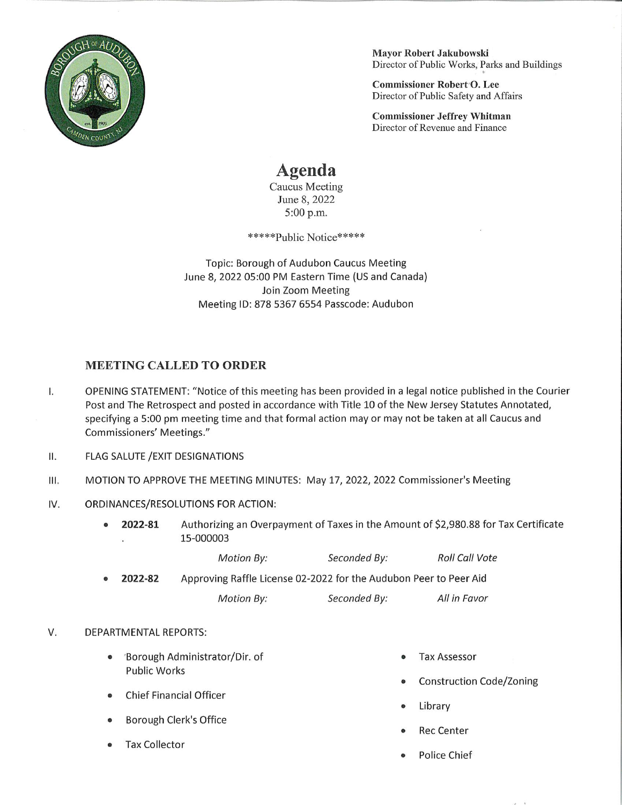

Mayor Robert Jakubowski Director of Public Works, Parks and Buildings

Commissioner Robert O. Lee Director of Public Safety and Affairs

Commissioner Jeffrey Whitman Director of Revenue and Finance

## Agenda

Caucus Meeting June 8, 2022 5:00 p.m.

\*\*\*\*\*Public Notice\*\*\*\*\*

Topic: Borough of Audubon Caucus Meeting June 8, 2022 05:00 PM Eastern Time (US and Canada) Join Zoom Meeting Meeting ID: 878 5367 6554 Passcode: Audubon

## MEETING CALLED TO ORDER

- 1. OPENING STATEMENT: "Notice of this meeting has been provided in a legal notice published in the Courier Post and The Retrospect and posted in accordance with Title 10 of the New Jersey Statutes Annotated, specifying a 5:00 pm meeting time and that formal action may or may not be taken at all Caucus and Commissioners' Meetings."
- II. FLAG SALUTE /EXIT DESIGNATIONS
- Ill. MOTION TO APPROVE THE MEETING MINUTES: May 17, 2022, 2022 Commissioner's Meeting
- IV. ORDINANCES/RESOLUTIONS FOR ACTION:
	- 2022-81 Authorizing an Overpayment of Taxes in the Amount of \$2,980.88 for Tax Certificate 15-000003

|         | <b>Motion By:</b>                                                 | Seconded By: | <b>Roll Call Vote</b> |
|---------|-------------------------------------------------------------------|--------------|-----------------------|
| 2022-82 | Approving Raffle License 02-2022 for the Audubon Peer to Peer Aid |              |                       |
|         | Motion By:                                                        | Seconded By: | All in Favor          |

## V. DEPARTMENTAL REPORTS:

- \* 'Borough Administrator/Dir. of Public Works
- Chief Financial Officer
- Borough Clerk's Office
- Tax Collector
- **Tax Assessor**
- Construction Code/Zoning
- Library
- **Rec Center**
- Police Chief